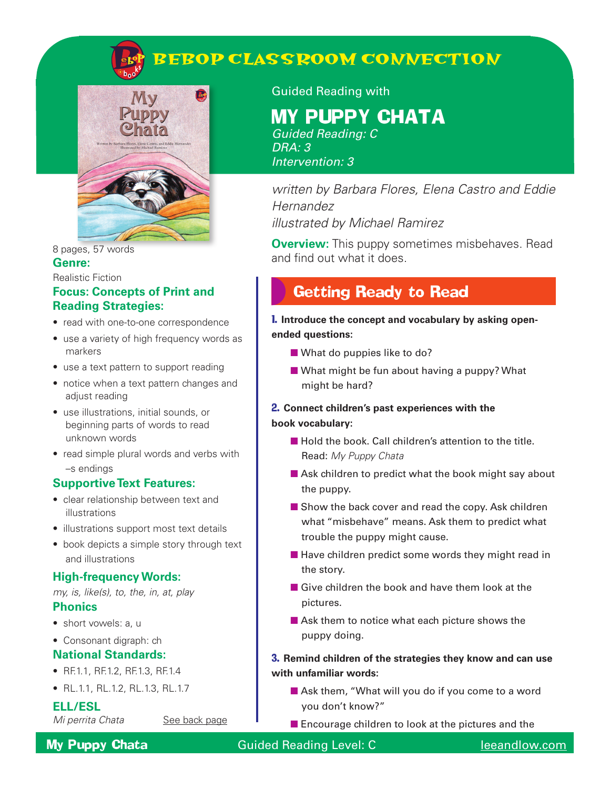

#### 8 pages, 57 words **Genre:**

#### Realistic Fiction

### **Focus: Concepts of Print and Reading Strategies:**

- read with one-to-one correspondence
- use a variety of high frequency words as markers
- use a text pattern to support reading
- notice when a text pattern changes and adjust reading
- use illustrations, initial sounds, or beginning parts of words to read unknown words
- read simple plural words and verbs with –s endings

#### **Supportive Text Features:**

- clear relationship between text and illustrations
- illustrations support most text details
- book depicts a simple story through text and illustrations

#### **High-frequency Words:**

*my, is, like(s), to, the, in, at, play*

#### **Phonics**

• short vowels: a, u

#### • Consonant digraph: ch

#### **National Standards:**

- RF.1.1, RF.1.2, RF.1.3, RF.1.4
- RL.1.1, RL.1.2, RL.1.3, RL.1.7

#### **ELL/ESL**

*Mi perrita Chata* **See back page** 

Guided Reading with

**BEBOP CLASSROOM CONNECTION**

# MY PUPPY CHATA

*Guided Reading: C DRA: 3 Intervention: 3*

*written by Barbara Flores, Elena Castro and Eddie Hernandez illustrated by Michael Ramirez*

**Overview:** This puppy sometimes misbehaves. Read and find out what it does.

# Getting Ready to Read

1. **Introduce the concept and vocabulary by asking openended questions:**

- What do puppies like to do?
- What might be fun about having a puppy? What might be hard?

#### 2. **Connect children's past experiences with the book vocabulary:**

- Hold the book. Call children's attention to the title. Read: *My Puppy Chata*
- Ask children to predict what the book might say about the puppy.
- Show the back cover and read the copy. Ask children what "misbehave" means. Ask them to predict what trouble the puppy might cause.
- $\blacksquare$  Have children predict some words they might read in the story.
- Give children the book and have them look at the pictures.
- Ask them to notice what each picture shows the puppy doing.

#### 3. **Remind children of the strategies they know and can use with unfamiliar words:**

- Ask them, "What will you do if you come to a word you don't know?"
- Encourage children to look at the pictures and the

#### **My Puppy Chata** Guided Reading Level: C leeandlow.com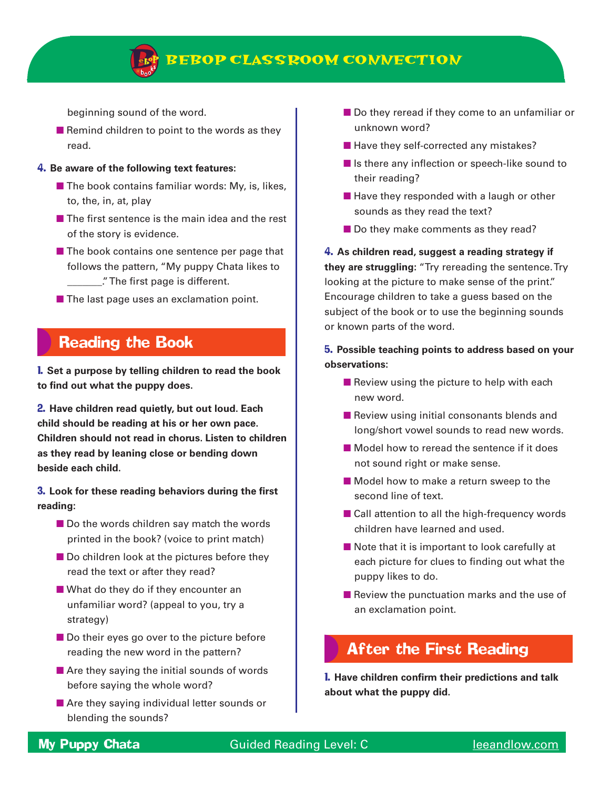

### **BEBOP CLASSROOM CONNECTION**

beginning sound of the word.

■ Remind children to point to the words as they read.

#### 4. **Be aware of the following text features:**

- $\blacksquare$  The book contains familiar words: My, is, likes, to, the, in, at, play
- The first sentence is the main idea and the rest of the story is evidence.
- The book contains one sentence per page that follows the pattern, "My puppy Chata likes to \_\_\_\_\_\_\_." The first page is different.
- The last page uses an exclamation point.

### Reading the Book

1. **Set a purpose by telling children to read the book to find out what the puppy does.**

2. **Have children read quietly, but out loud. Each child should be reading at his or her own pace. Children should not read in chorus. Listen to children as they read by leaning close or bending down beside each child.**

3. **Look for these reading behaviors during the first reading:** 

- Do the words children say match the words printed in the book? (voice to print match)
- Do children look at the pictures before they read the text or after they read?
- What do they do if they encounter an unfamiliar word? (appeal to you, try a strategy)
- Do their eyes go over to the picture before reading the new word in the pattern?
- $\blacksquare$  Are they saying the initial sounds of words before saying the whole word?
- Are they saying individual letter sounds or blending the sounds?
- Do they reread if they come to an unfamiliar or unknown word?
- Have they self-corrected any mistakes?
- Is there any inflection or speech-like sound to their reading?
- Have they responded with a laugh or other sounds as they read the text?
- Do they make comments as they read?

4. **As children read, suggest a reading strategy if they are struggling:** "Try rereading the sentence. Try looking at the picture to make sense of the print." Encourage children to take a guess based on the subject of the book or to use the beginning sounds or known parts of the word.

#### 5. **Possible teaching points to address based on your observations:**

- $\blacksquare$  Review using the picture to help with each new word.
- Review using initial consonants blends and long/short vowel sounds to read new words.
- Model how to reread the sentence if it does not sound right or make sense.
- Model how to make a return sweep to the second line of text.
- Call attention to all the high-frequency words children have learned and used.
- Note that it is important to look carefully at each picture for clues to finding out what the puppy likes to do.
- Review the punctuation marks and the use of an exclamation point.

### After the First Reading

1. **Have children confirm their predictions and talk about what the puppy did.**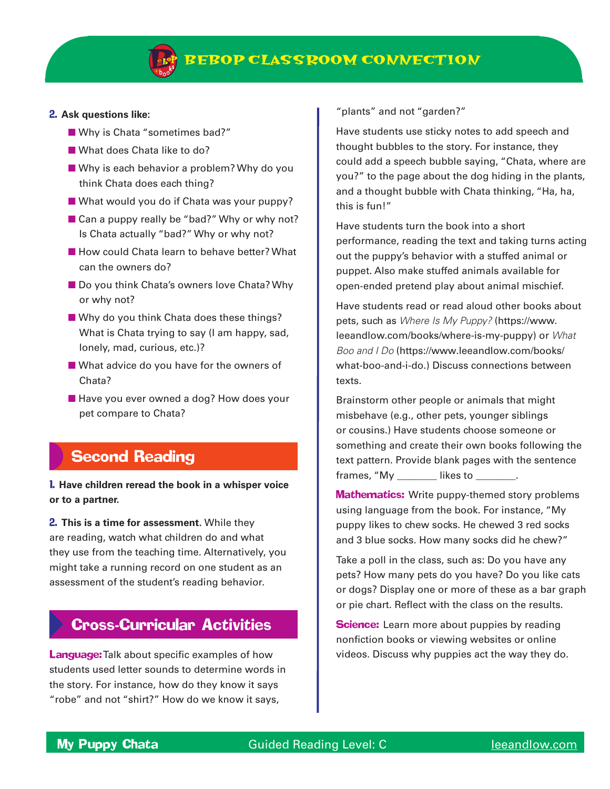

#### 2. **Ask questions like:**

- Why is Chata "sometimes bad?"
- What does Chata like to do?
- Why is each behavior a problem? Why do you think Chata does each thing?
- What would you do if Chata was your puppy?
- Can a puppy really be "bad?" Why or why not? Is Chata actually "bad?" Why or why not?
- How could Chata learn to behave better? What can the owners do?
- Do you think Chata's owners love Chata? Why or why not?
- Why do you think Chata does these things? What is Chata trying to say (I am happy, sad, lonely, mad, curious, etc.)?
- What advice do you have for the owners of Chata?
- Have you ever owned a dog? How does your pet compare to Chata?

### Second Reading

1. **Have children reread the book in a whisper voice or to a partner.** 

2. **This is a time for assessment.** While they are reading, watch what children do and what they use from the teaching time. Alternatively, you might take a running record on one student as an assessment of the student's reading behavior.

### Cross-Curricular Activities

**Language:** Talk about specific examples of how students used letter sounds to determine words in the story. For instance, how do they know it says "robe" and not "shirt?" How do we know it says,

"plants" and not "garden?"

Have students use sticky notes to add speech and thought bubbles to the story. For instance, they could add a speech bubble saying, "Chata, where are you?" to the page about the dog hiding in the plants, and a thought bubble with Chata thinking, "Ha, ha, this is fun!"

Have students turn the book into a short performance, reading the text and taking turns acting out the puppy's behavior with a stuffed animal or puppet. Also make stuffed animals available for open-ended pretend play about animal mischief.

Have students read or read aloud other books about pets, such as *Where Is My Puppy?* (https://www. leeandlow.com/books/where-is-my-puppy) or *What Boo and I Do* (https://www.leeandlow.com/books/ what-boo-and-i-do.) Discuss connections between texts.

Brainstorm other people or animals that might misbehave (e.g., other pets, younger siblings or cousins.) Have students choose someone or something and create their own books following the text pattern. Provide blank pages with the sentence frames, "My \_\_\_\_\_\_\_\_\_\_\_ likes to \_

**Mathematics:** Write puppy-themed story problems using language from the book. For instance, "My puppy likes to chew socks. He chewed 3 red socks and 3 blue socks. How many socks did he chew?"

Take a poll in the class, such as: Do you have any pets? How many pets do you have? Do you like cats or dogs? Display one or more of these as a bar graph or pie chart. Reflect with the class on the results.

**Science:** Learn more about puppies by reading nonfiction books or viewing websites or online videos. Discuss why puppies act the way they do.